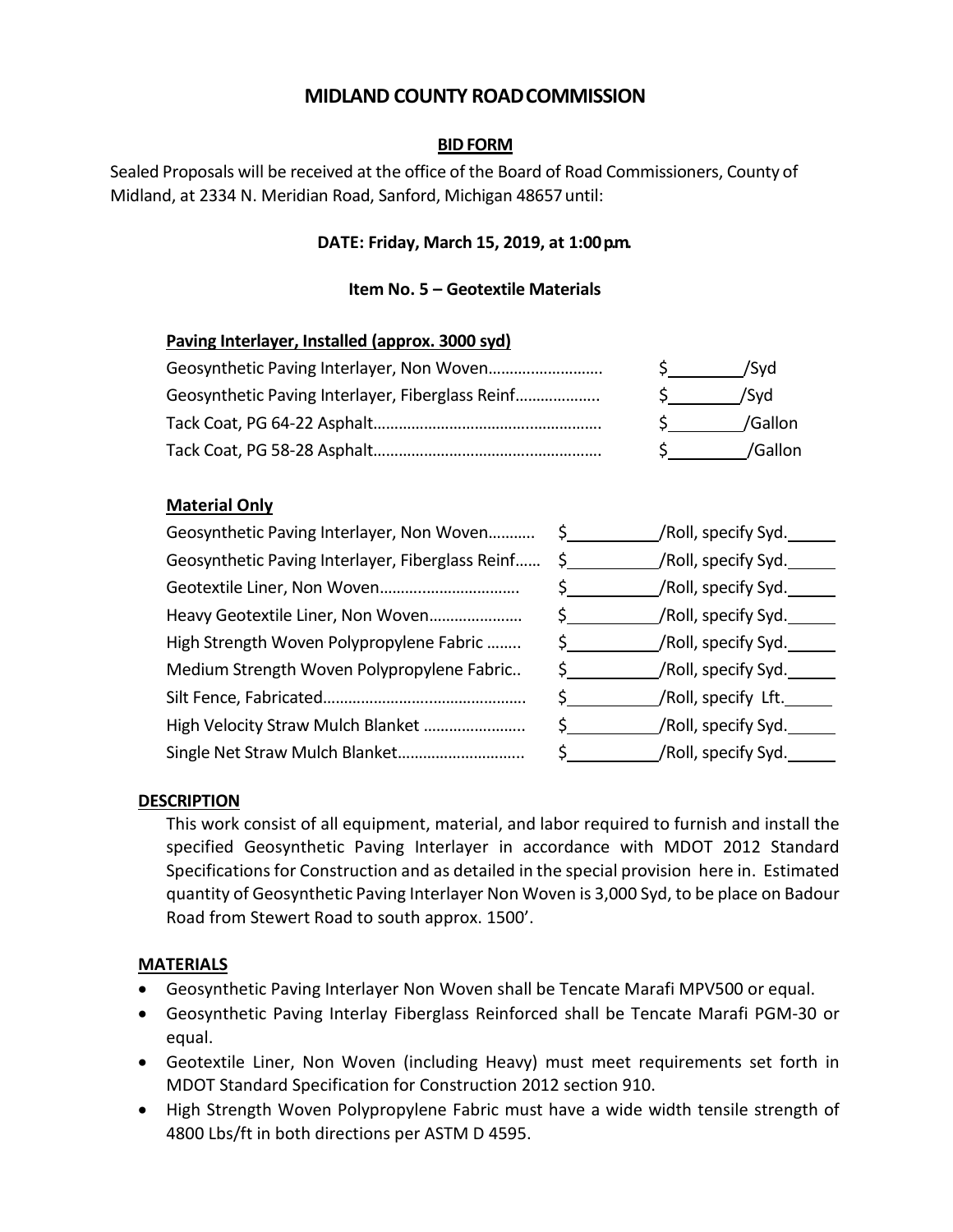# **MIDLAND COUNTY ROADCOMMISSION**

# **BIDFORM**

Sealed Proposals will be received at the office of the Board of Road Commissioners, County of Midland, at 2334 N. Meridian Road, Sanford, Michigan 48657until:

# **DATE: Friday, March 15, 2019, at 1:00p.m.**

### **Item No. 5 – Geotextile Materials**

#### **Paving Interlayer, Installed (approx. 3000 syd)**

|                                                  | 'Svd    |
|--------------------------------------------------|---------|
| Geosynthetic Paving Interlayer, Fiberglass Reinf | /Svd    |
|                                                  | /Gallon |
|                                                  | /Gallon |

# **Material Only**

| Geosynthetic Paving Interlayer, Non Woven        | /Roll, specify Syd.<br>S and the set of the set of the set of the set of the set of the set of the set of the set of the set of the set of the set of the set of the set of the set of the set of the set of the set of the set of the set of the set |
|--------------------------------------------------|-------------------------------------------------------------------------------------------------------------------------------------------------------------------------------------------------------------------------------------------------------|
| Geosynthetic Paving Interlayer, Fiberglass Reinf | /Roll, specify Syd.__                                                                                                                                                                                                                                 |
|                                                  | /Roll, specify Syd.                                                                                                                                                                                                                                   |
| Heavy Geotextile Liner, Non Woven                | /Roll, specify Syd.                                                                                                                                                                                                                                   |
| High Strength Woven Polypropylene Fabric         | /Roll, specify Syd.                                                                                                                                                                                                                                   |
| Medium Strength Woven Polypropylene Fabric       | /Roll, specify Syd.______                                                                                                                                                                                                                             |
|                                                  | /Roll, specify Lft.____                                                                                                                                                                                                                               |
| High Velocity Straw Mulch Blanket                | /Roll, specify Syd.                                                                                                                                                                                                                                   |
|                                                  | /Roll, specify Syd._                                                                                                                                                                                                                                  |

# **DESCRIPTION**

This work consist of all equipment, material, and labor required to furnish and install the specified Geosynthetic Paving Interlayer in accordance with MDOT 2012 Standard Specifications for Construction and as detailed in the special provision here in. Estimated quantity of Geosynthetic Paving Interlayer Non Woven is 3,000 Syd, to be place on Badour Road from Stewert Road to south approx. 1500'.

#### **MATERIALS**

- Geosynthetic Paving Interlayer Non Woven shall be Tencate Marafi MPV500 or equal.
- Geosynthetic Paving Interlay Fiberglass Reinforced shall be Tencate Marafi PGM-30 or equal.
- Geotextile Liner, Non Woven (including Heavy) must meet requirements set forth in MDOT Standard Specification for Construction 2012 section 910.
- High Strength Woven Polypropylene Fabric must have a wide width tensile strength of 4800 Lbs/ft in both directions per ASTM D 4595.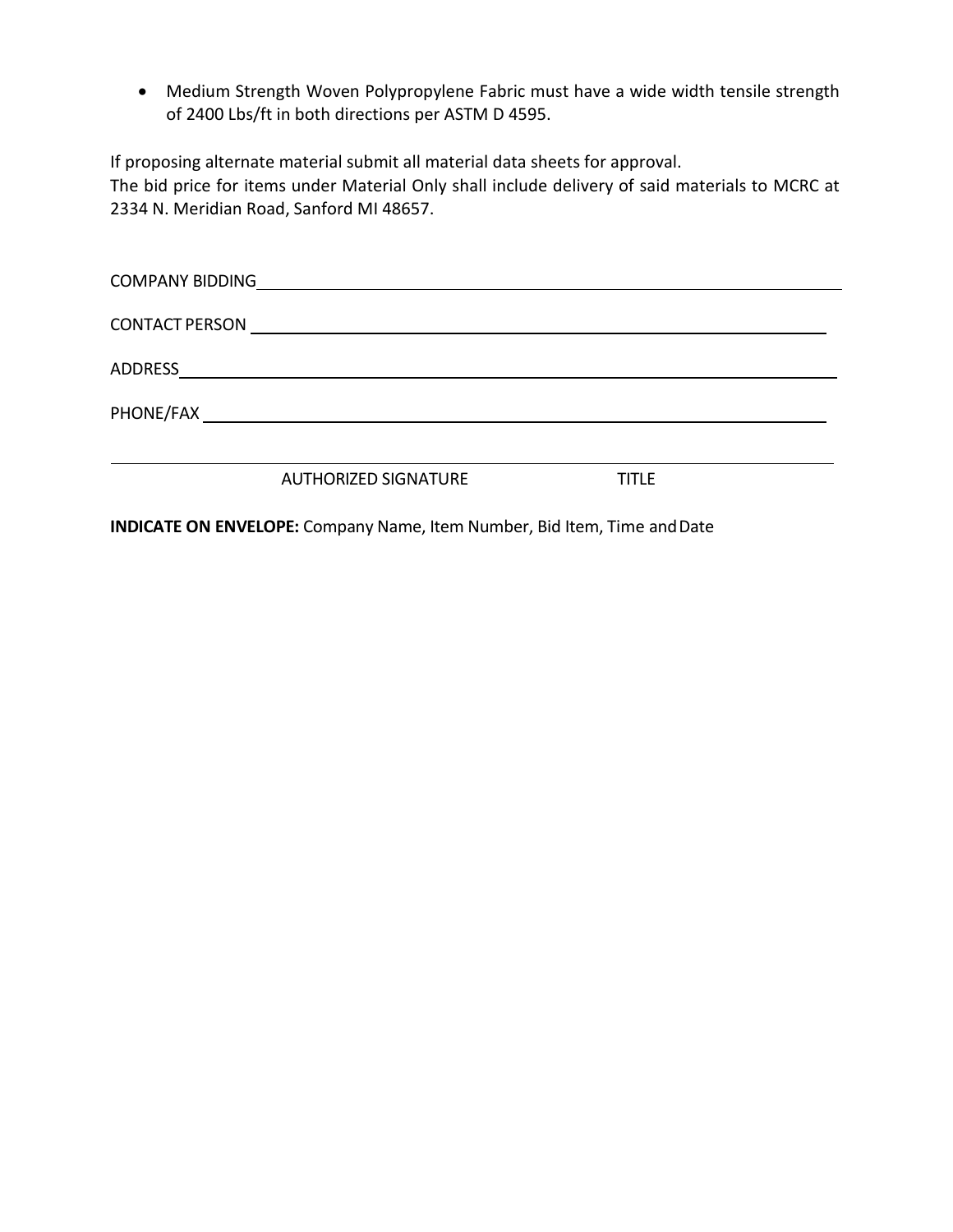• Medium Strength Woven Polypropylene Fabric must have a wide width tensile strength of 2400 Lbs/ft in both directions per ASTM D 4595.

If proposing alternate material submit all material data sheets for approval.

The bid price for items under Material Only shall include delivery of said materials to MCRC at 2334 N. Meridian Road, Sanford MI 48657.

| <b>COMPANY BIDDING</b> |                             |              |  |
|------------------------|-----------------------------|--------------|--|
|                        |                             |              |  |
|                        |                             |              |  |
|                        |                             |              |  |
|                        |                             |              |  |
|                        | <b>AUTHORIZED SIGNATURE</b> | <b>TITLE</b> |  |

**INDICATE ON ENVELOPE:** Company Name, Item Number, Bid Item, Time andDate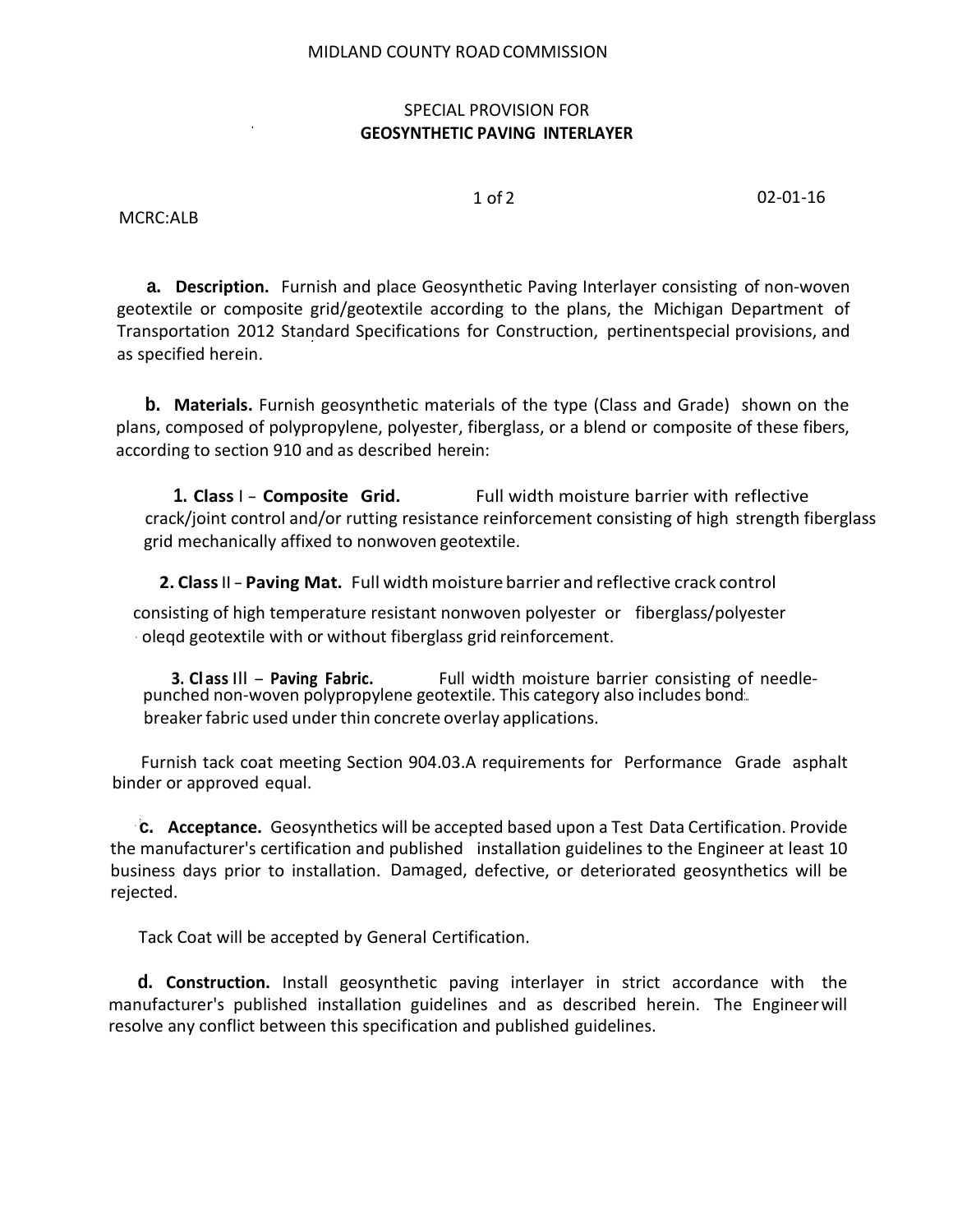#### MIDLAND COUNTY ROADCOMMISSION

#### SPECIAL PROVISION FOR **GEOSYNTHETIC PAVING INTERLAYER**

1 of 2 02-01-16

MCRC:ALB

**a. Description.** Furnish and place Geosynthetic Paving Interlayer consisting of non-woven geotextile or composite grid/geotextile according to the plans, the Michigan Department of Transportation 2012 Standard Specifications for Construction, pertinentspecial provisions, and as specified herein.

**b. Materials.** Furnish geosynthetic materials of the type (Class and Grade) shown on the plans, composed of polypropylene, polyester, fiberglass, or a blend or composite of these fibers, according to section 910 and as described herein:

**1. Class** I - **Composite Grid.** Full width moisture barrier with reflective crack/joint control and/or rutting resistance reinforcement consisting of high strength fiberglass grid mechanically affixed to nonwoven geotextile.

 **2. Class**II-**Paving Mat.** Full widthmoisture barrier and reflective crack control

consisting of high temperature resistant nonwoven polyester or fiberglass/polyester · oleqd geotextile with or without fiberglass grid reinforcement.

**3. Class III - Paving Fabric.** Full width moisture barrier consisting of needle-<br>punched non-woven polypropylene geotextile. This category also includes bond:.. breakerfabric used under thin concrete overlay applications.

Furnish tack coat meeting Section 904.03.A requirements for Performance Grade asphalt binder or approved equal.

**c. Acceptance.** Geosynthetics will be accepted based upon a Test Data Certification. Provide the manufacturer's certification and published installation guidelines to the Engineer at least 10 business days prior to installation. Damaged, defective, or deteriorated geosynthetics will be rejected.

Tack Coat will be accepted by General Certification.

**d. Construction.** Install geosynthetic paving interlayer in strict accordance with the manufacturer's published installation guidelines and as described herein. The Engineerwill resolve any conflict between this specification and published guidelines.